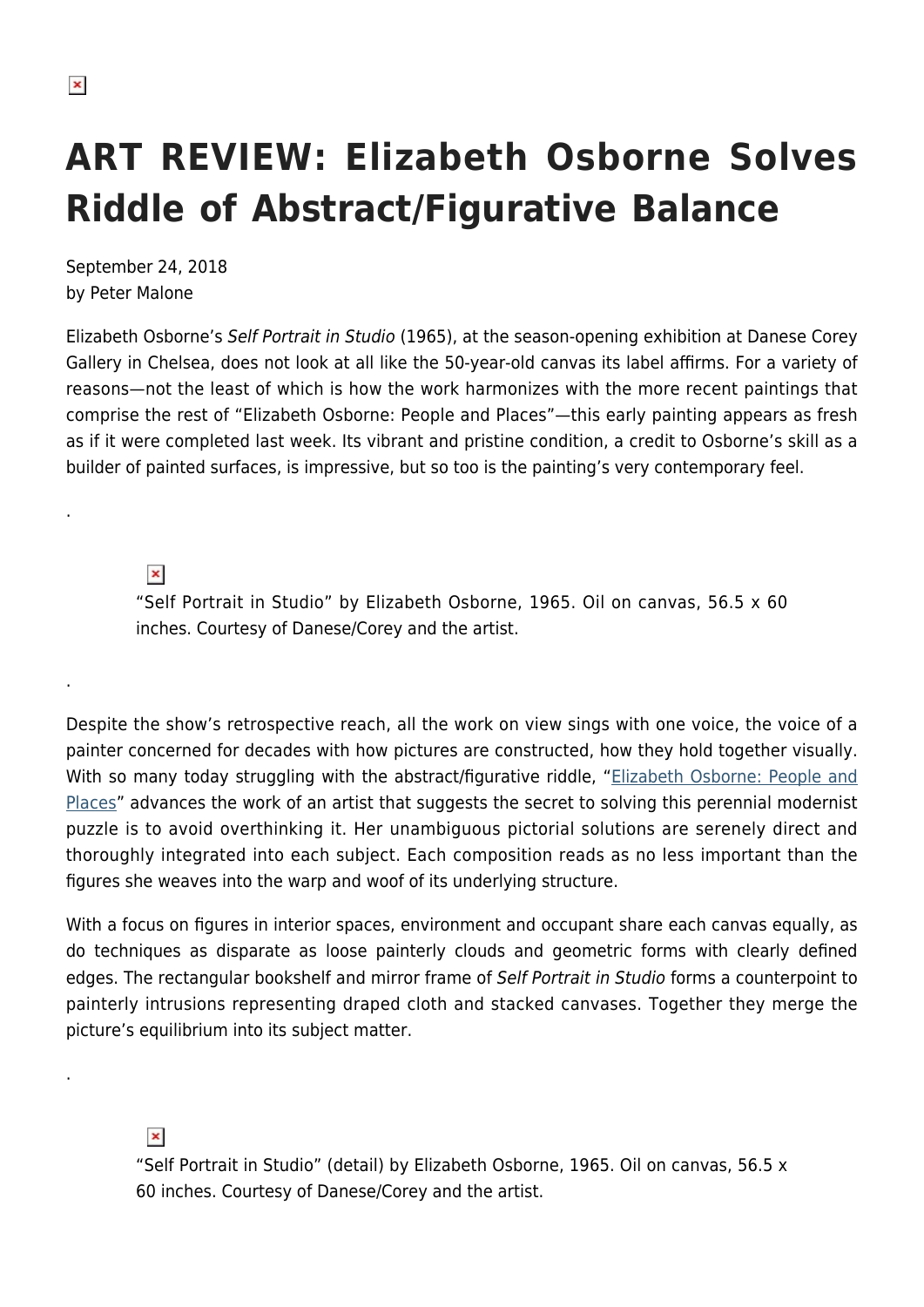.

.

.

## **ART REVIEW: Elizabeth Osborne Solves Riddle of Abstract/Figurative Balance**

September 24, 2018 by Peter Malone

Elizabeth Osborne's Self Portrait in Studio (1965), at the season-opening exhibition at Danese Corey Gallery in Chelsea, does not look at all like the 50-year-old canvas its label affirms. For a variety of reasons—not the least of which is how the work harmonizes with the more recent paintings that comprise the rest of "Elizabeth Osborne: People and Places"—this early painting appears as fresh as if it were completed last week. Its vibrant and pristine condition, a credit to Osborne's skill as a builder of painted surfaces, is impressive, but so too is the painting's very contemporary feel.

 $\pmb{\times}$ 

"Self Portrait in Studio" by Elizabeth Osborne, 1965. Oil on canvas, 56.5 x 60 inches. Courtesy of Danese/Corey and the artist.

Despite the show's retrospective reach, all the work on view sings with one voice, the voice of a painter concerned for decades with how pictures are constructed, how they hold together visually. With so many today struggling with the abstract/figurative riddle, ["Elizabeth Osborne: People and](http://www.danesecorey.com/exhibitions/elizabeth-osborne) [Places](http://www.danesecorey.com/exhibitions/elizabeth-osborne)" advances the work of an artist that suggests the secret to solving this perennial modernist puzzle is to avoid overthinking it. Her unambiguous pictorial solutions are serenely direct and thoroughly integrated into each subject. Each composition reads as no less important than the figures she weaves into the warp and woof of its underlying structure.

With a focus on figures in interior spaces, environment and occupant share each canvas equally, as do techniques as disparate as loose painterly clouds and geometric forms with clearly defined edges. The rectangular bookshelf and mirror frame of Self Portrait in Studio forms a counterpoint to painterly intrusions representing draped cloth and stacked canvases. Together they merge the picture's equilibrium into its subject matter.

 $\pmb{\times}$ 

<sup>&</sup>quot;Self Portrait in Studio" (detail) by Elizabeth Osborne, 1965. Oil on canvas, 56.5 x 60 inches. Courtesy of Danese/Corey and the artist.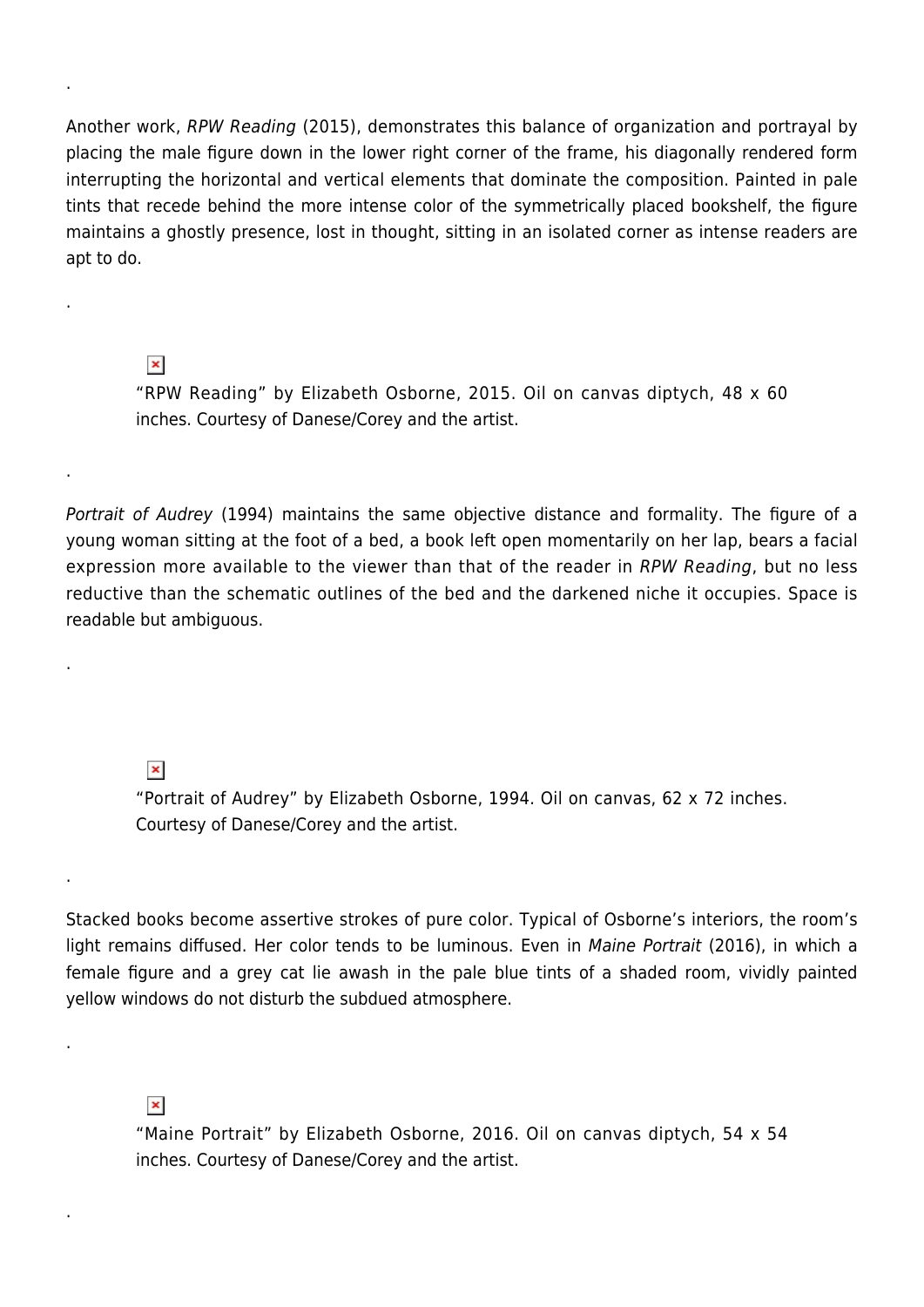Another work, RPW Reading (2015), demonstrates this balance of organization and portrayal by placing the male figure down in the lower right corner of the frame, his diagonally rendered form interrupting the horizontal and vertical elements that dominate the composition. Painted in pale tints that recede behind the more intense color of the symmetrically placed bookshelf, the figure maintains a ghostly presence, lost in thought, sitting in an isolated corner as intense readers are apt to do.

## $\pmb{\times}$

.

.

.

.

.

.

.

"RPW Reading" by Elizabeth Osborne, 2015. Oil on canvas diptych, 48 x 60 inches. Courtesy of Danese/Corey and the artist.

Portrait of Audrey (1994) maintains the same objective distance and formality. The figure of a young woman sitting at the foot of a bed, a book left open momentarily on her lap, bears a facial expression more available to the viewer than that of the reader in RPW Reading, but no less reductive than the schematic outlines of the bed and the darkened niche it occupies. Space is readable but ambiguous.

## $\pmb{\times}$

"Portrait of Audrey" by Elizabeth Osborne, 1994. Oil on canvas, 62 x 72 inches. Courtesy of Danese/Corey and the artist.

Stacked books become assertive strokes of pure color. Typical of Osborne's interiors, the room's light remains diffused. Her color tends to be luminous. Even in Maine Portrait (2016), in which a female figure and a grey cat lie awash in the pale blue tints of a shaded room, vividly painted yellow windows do not disturb the subdued atmosphere.

## $\pmb{\times}$

"Maine Portrait" by Elizabeth Osborne, 2016. Oil on canvas diptych, 54 x 54 inches. Courtesy of Danese/Corey and the artist.